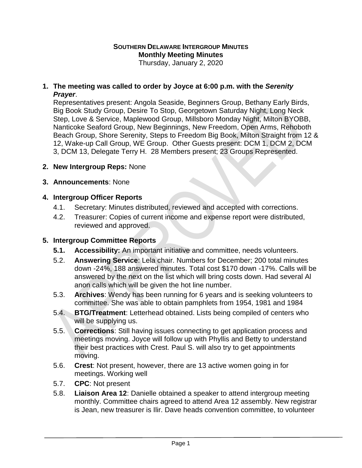# **SOUTHERN DELAWARE INTERGROUP MINUTES Monthly Meeting Minutes**

Thursday, January 2, 2020

#### **1. The meeting was called to order by Joyce at 6:00 p.m. with the** *Serenity Prayer*.

Representatives present: Angola Seaside, Beginners Group, Bethany Early Birds, Big Book Study Group, Desire To Stop, Georgetown Saturday Night, Long Neck Step, Love & Service, Maplewood Group, Millsboro Monday Night, Milton BYOBB, Nanticoke Seaford Group, New Beginnings, New Freedom, Open Arms, Rehoboth Beach Group, Shore Serenity, Steps to Freedom Big Book, Milton Straight from 12 & 12, Wake-up Call Group, WE Group. Other Guests present: DCM 1, DCM 2, DCM 3, DCM 13, Delegate Terry H. 28 Members present; 23 Groups Represented.

#### **2. New Intergroup Reps:** None

#### **3. Announcements**: None

#### **4. Intergroup Officer Reports**

- 4.1. Secretary: Minutes distributed, reviewed and accepted with corrections.
- 4.2. Treasurer: Copies of current income and expense report were distributed, reviewed and approved.

#### **5. Intergroup Committee Reports**

- **5.1. Accessibility:** An important initiative and committee, needs volunteers.
- 5.2. **Answering Service**: Lela chair. Numbers for December; 200 total minutes down -24%, 188 answered minutes. Total cost \$170 down -17%. Calls will be answered by the next on the list which will bring costs down. Had several Al anon calls which will be given the hot line number.
- 5.3. **Archives**: Wendy has been running for 6 years and is seeking volunteers to committee. She was able to obtain pamphlets from 1954, 1981 and 1984
- 5.4. **BTG/Treatment**: Letterhead obtained. Lists being compiled of centers who will be supplying us.
- 5.5. **Corrections**: Still having issues connecting to get application process and meetings moving. Joyce will follow up with Phyllis and Betty to understand their best practices with Crest. Paul S. will also try to get appointments moving.
- 5.6. **Crest**: Not present, however, there are 13 active women going in for meetings. Working well
- 5.7. **CPC**: Not present
- 5.8. **Liaison Area 12**: Danielle obtained a speaker to attend intergroup meeting monthly. Committee chairs agreed to attend Area 12 assembly. New registrar is Jean, new treasurer is Ilir. Dave heads convention committee, to volunteer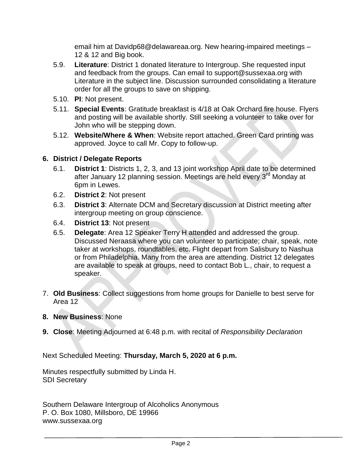email him at Davidp68@delawareaa.org. New hearing-impaired meetings – 12 & 12 and Big book.

- 5.9. **Literature**: District 1 donated literature to Intergroup. She requested input and feedback from the groups. Can email to support@sussexaa.org with Literature in the subject line. Discussion surrounded consolidating a literature order for all the groups to save on shipping.
- 5.10. **PI**: Not present.
- 5.11. **Special Events**: Gratitude breakfast is 4/18 at Oak Orchard fire house. Flyers and posting will be available shortly. Still seeking a volunteer to take over for John who will be stepping down.
- 5.12. **Website/Where & When**: Website report attached. Green Card printing was approved. Joyce to call Mr. Copy to follow-up.

## **6. District / Delegate Reports**

- 6.1. **District 1**: Districts 1, 2, 3, and 13 joint workshop April date to be determined after January 12 planning session. Meetings are held every 3<sup>rd</sup> Monday at 6pm in Lewes.
- 6.2. **District 2**: Not present
- 6.3. **District 3**: Alternate DCM and Secretary discussion at District meeting after intergroup meeting on group conscience.
- 6.4. **District 13**: Not present
- 6.5. **Delegate**: Area 12 Speaker Terry H attended and addressed the group. Discussed Neraasa where you can volunteer to participate; chair, speak, note taker at workshops, roundtables, etc. Flight depart from Salisbury to Nashua or from Philadelphia. Many from the area are attending. District 12 delegates are available to speak at groups, need to contact Bob L., chair, to request a speaker.
- 7. **Old Business**: Collect suggestions from home groups for Danielle to best serve for Area 12
- **8. New Business**: None
- **9. Close**: Meeting Adjourned at 6:48 p.m. with recital of *Responsibility Declaration*

Next Scheduled Meeting: **Thursday, March 5, 2020 at 6 p.m.**

Minutes respectfully submitted by Linda H. SDI Secretary

Southern Delaware Intergroup of Alcoholics Anonymous P. O. Box 1080, Millsboro, DE 19966 www.sussexaa.org